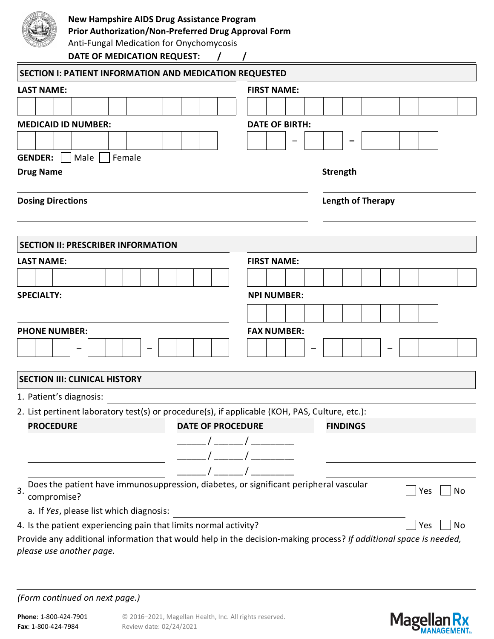

# **New Hampshire AIDS Drug Assistance Program**

**Prior Authorization/Non-Preferred Drug Approval Form**

Anti-Fungal Medication for Onychomycosis

**DATE OF MEDICATION REQUEST: / /**

| SECTION I: PATIENT INFORMATION AND MEDICATION REQUESTED                                                    |                                                                                                                   |  |  |  |  |  |  |  |  |  |  |  |
|------------------------------------------------------------------------------------------------------------|-------------------------------------------------------------------------------------------------------------------|--|--|--|--|--|--|--|--|--|--|--|
| <b>LAST NAME:</b>                                                                                          | <b>FIRST NAME:</b>                                                                                                |  |  |  |  |  |  |  |  |  |  |  |
|                                                                                                            |                                                                                                                   |  |  |  |  |  |  |  |  |  |  |  |
| <b>MEDICAID ID NUMBER:</b>                                                                                 | <b>DATE OF BIRTH:</b>                                                                                             |  |  |  |  |  |  |  |  |  |  |  |
|                                                                                                            |                                                                                                                   |  |  |  |  |  |  |  |  |  |  |  |
| Male<br><b>GENDER:</b><br>Female                                                                           |                                                                                                                   |  |  |  |  |  |  |  |  |  |  |  |
| <b>Drug Name</b>                                                                                           | <b>Strength</b>                                                                                                   |  |  |  |  |  |  |  |  |  |  |  |
| <b>Dosing Directions</b>                                                                                   | <b>Length of Therapy</b>                                                                                          |  |  |  |  |  |  |  |  |  |  |  |
|                                                                                                            |                                                                                                                   |  |  |  |  |  |  |  |  |  |  |  |
| <b>SECTION II: PRESCRIBER INFORMATION</b>                                                                  |                                                                                                                   |  |  |  |  |  |  |  |  |  |  |  |
| <b>LAST NAME:</b>                                                                                          | <b>FIRST NAME:</b>                                                                                                |  |  |  |  |  |  |  |  |  |  |  |
|                                                                                                            |                                                                                                                   |  |  |  |  |  |  |  |  |  |  |  |
| <b>SPECIALTY:</b>                                                                                          | <b>NPI NUMBER:</b>                                                                                                |  |  |  |  |  |  |  |  |  |  |  |
|                                                                                                            |                                                                                                                   |  |  |  |  |  |  |  |  |  |  |  |
| <b>PHONE NUMBER:</b>                                                                                       | <b>FAX NUMBER:</b>                                                                                                |  |  |  |  |  |  |  |  |  |  |  |
|                                                                                                            |                                                                                                                   |  |  |  |  |  |  |  |  |  |  |  |
| <b>SECTION III: CLINICAL HISTORY</b>                                                                       |                                                                                                                   |  |  |  |  |  |  |  |  |  |  |  |
| 1. Patient's diagnosis:                                                                                    |                                                                                                                   |  |  |  |  |  |  |  |  |  |  |  |
| 2. List pertinent laboratory test(s) or procedure(s), if applicable (KOH, PAS, Culture, etc.):             |                                                                                                                   |  |  |  |  |  |  |  |  |  |  |  |
| <b>PROCEDURE</b><br><b>DATE OF PROCEDURE</b>                                                               | <b>FINDINGS</b>                                                                                                   |  |  |  |  |  |  |  |  |  |  |  |
|                                                                                                            |                                                                                                                   |  |  |  |  |  |  |  |  |  |  |  |
|                                                                                                            |                                                                                                                   |  |  |  |  |  |  |  |  |  |  |  |
|                                                                                                            |                                                                                                                   |  |  |  |  |  |  |  |  |  |  |  |
| Does the patient have immunosuppression, diabetes, or significant peripheral vascular<br>3.<br>compromise? | No<br>Yes                                                                                                         |  |  |  |  |  |  |  |  |  |  |  |
| a. If Yes, please list which diagnosis:                                                                    |                                                                                                                   |  |  |  |  |  |  |  |  |  |  |  |
| 4. Is the patient experiencing pain that limits normal activity?                                           | Yes<br>No                                                                                                         |  |  |  |  |  |  |  |  |  |  |  |
| please use another page.                                                                                   | Provide any additional information that would help in the decision-making process? If additional space is needed, |  |  |  |  |  |  |  |  |  |  |  |

*(Form continued on next page.)*